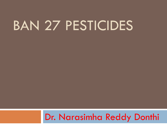# BAN 27 PESTICIDES

#### Dr. Narasimha Reddy Donthi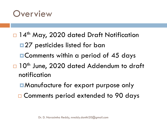#### **Overview**

#### □ 14<sup>th</sup> May, 2020 dated Draft Notification

- ■27 pesticides listed for ban
- **EComments within a period of 45 days**
- □ 10<sup>th</sup> June, 2020 dated Addendum to draft notification
	- Manufacture for export purpose only
	- □ Comments period extended to 90 days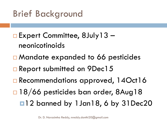Brief Background

- □ Expert Committee, 8July 13 neonicotinoids
- □ Mandate expanded to 66 pesticides
- □ Report submitted on 9Dec15
- □ Recommendations approved, 14Oct16
- □ 18/66 pesticides ban order, 8Aug18
	- ■12 banned by 1Jan18, 6 by 31Dec20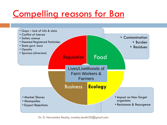## Compelling reasons for Ban

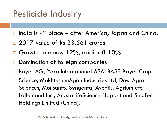## Pesticide Industry

- $\Box$  India is 4<sup>th</sup> place after America, Japan and China.
- □ 2017 value of Rs.33,561 crores
- $\Box$  Growth rate now 12%, earlier 8-10%
- Domination of foreign companies

□ Bayer AG, Yara International ASA, BASF, Bayer Crop Science, MakhteshimAgan Industries Ltd, Dow Agro Sciences, Monsanto, Syngenta, Aventis, Agrium etc. Lallemand Inc., ArystaLifeScience (Japan) and Sinofert Holdings Limited (China).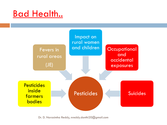#### **Bad Health..**

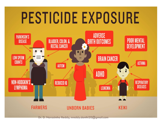# PESTICIDE EXPOSURE

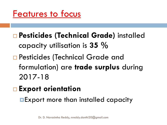Features to focus

- **Pesticides (Technical Grade)** installed capacity utilisation is **35 %**
- □ Pesticides (Technical Grade and formulation) are **trade surplus** during 2017-18
- **Export orientation**

**Export more than installed capacity**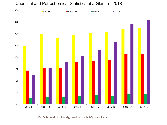#### Chemical and Petrochemical Statistics at a Glance - 2018



Dr. D. Narasimha Reddy, nreddy.donthi20@gmail.com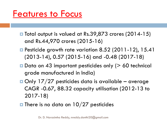#### Features to Focus

- **□** Total output is valued at Rs.39,873 crores (2014-15) and Rs.44,970 crores (2015-16)
- Pesticide growth rate variation 8.52 (2011-12), 15.41 (2013-14), 0.57 (2015-16) and -0.48 (2017-18)
- $\blacksquare$  Data on 43 important pesticides only ( $> 60$  technical grade manufactured in India)
- $\Box$  Only 17/27 pesticides data is available average CAGR -0.67, 88.32 capacity utilisation (2012-13 to 2017-18)
- $\blacksquare$  There is no data on 10/27 pesticides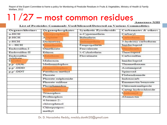Report of the Expert Committee to frame a policy for Monitoring of Pesticide Residues in Fruits & Vegetables, Ministry of Health & Family Welfare, 2012

## 11/27 – most common residues

Annexure-XIII

#### List of Pesticides Commonly Used/Misused/Detected on Various Commodities

| Organochlorines        | Organophosphates           | <b>Synthetic Pyrethroids</b> | Carbamates & others  |
|------------------------|----------------------------|------------------------------|----------------------|
| $\alpha$ -HCH          | <b>Chlorpyriphos</b>       | $\alpha$ -Cypermethrin       | Carbaryl             |
| $\beta$ -HCH           | Acephate                   | Bifenthrin                   | Carbofuran           |
| $v$ - $HCH$            | <b>Dichlorvos</b>          | <b>Deltamethrin</b>          | 3-hydroxy carbofuran |
| $\delta$ – HCH         | <b>Dimethoate</b>          | Fenpropathrin                | Imidacloprid         |
| Endosulfan-I           | Omethoate                  | Fenvalerate                  | Thiodicarb           |
| Endosulfan-II          | Ethion                     | λ-Cyhalothrin                | Thiaclopnd           |
| Endosulfan<br>sulphate | Malathion                  | Fluvalinate                  | Carbosulfan          |
| Dicofol                | Malaoxon                   |                              | Imidacloprid         |
| p.p -DDE               | Methamidophos              |                              | Thiamethaxam         |
| p,p'-DDD               | Monocrotophos              |                              | Acetamiprid          |
| p,p'-DDT               | Parathion-methyl           |                              | Spinosad             |
|                        | Phorate                    |                              | Flubendiamide        |
|                        | Phorate sulphoxide         |                              | Indoxacarb           |
|                        | Phorate sulfone            |                              | Emamectin benzoate   |
|                        | Phosphamidon               |                              | Chlorantraniliprole  |
|                        | Quinalphos                 |                              | Cartap hydrochloride |
|                        | Triazophos                 |                              | Methoniyl            |
|                        | Profenophos                |                              | Abamectin            |
|                        | 4-bromo-2-<br>chlorophenol |                              |                      |
|                        | Chlorpyripos-<br>methyl    |                              |                      |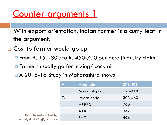### Counter arguments 1

- □ With export orientation, Indian farmer is a curry leaf in the argument.
- □ Cost to farmer would go up
	- From Rs.150-300 to Rs.450-700 per acre (industry claim)
	- **E** Farmers usually go for mixing/ cocktail
	- A 2015-16 Study in Maharashtra shows

|                                                      | A.        | <b>Acephate</b> | 272-401 |
|------------------------------------------------------|-----------|-----------------|---------|
|                                                      | <b>B.</b> | Monocrotophos   | 228-418 |
|                                                      | C.        | Imidacloprid    | 303-460 |
|                                                      |           | $A+B+C$         | 760     |
|                                                      |           | $A + B$         | 347     |
| Dr. D. Narasimha Reddy,<br>nreddy.donthi20@gmail.com |           | $B+C$           | 594     |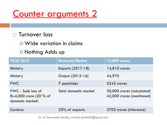#### Counter arguments 2

#### □ Turnover loss

- **D** Wide variation in claims
- **Nothing Adds up**

| <b>FICCI 2015</b>                                                 | <b>Domestic Market</b> | <b>12,800 crores</b>                                    |
|-------------------------------------------------------------------|------------------------|---------------------------------------------------------|
| Ministry                                                          | Exports (2017-18)      | 14,810 crores                                           |
| Ministry                                                          | Output (2015-16)       | 44,970                                                  |
| <b>PWC</b>                                                        | 7 pesticides           | 5245 crores                                             |
| PWC - Sale loss of<br>Rs.4,000 crore (20 % of<br>domestic market) | Total domestic market  | 20,000 crores (calculated)<br>42,000 crores (mentioned) |
| Corteva                                                           | 25% of exports         | 3702 crores (inference)                                 |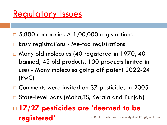### Regulatory Issues

- $\Box$  5,800 companies  $> 1,00,000$  registrations
- $\Box$  Easy registrations Me-too registrations
- □ Many old molecules (40 registered in 1970, 40 banned, 42 old products, 100 products limited in use) - Many molecules going off patent 2022-24 (PwC)
- □ Comments were invited on 37 pesticides in 2005
- □ State-level bans (Maha, TS, Kerala and Punjab)

#### **17/27 pesticides are 'deemed to be registered'** Dr. D. Narasimha Reddy, nreddy.donthi20@gmail.com